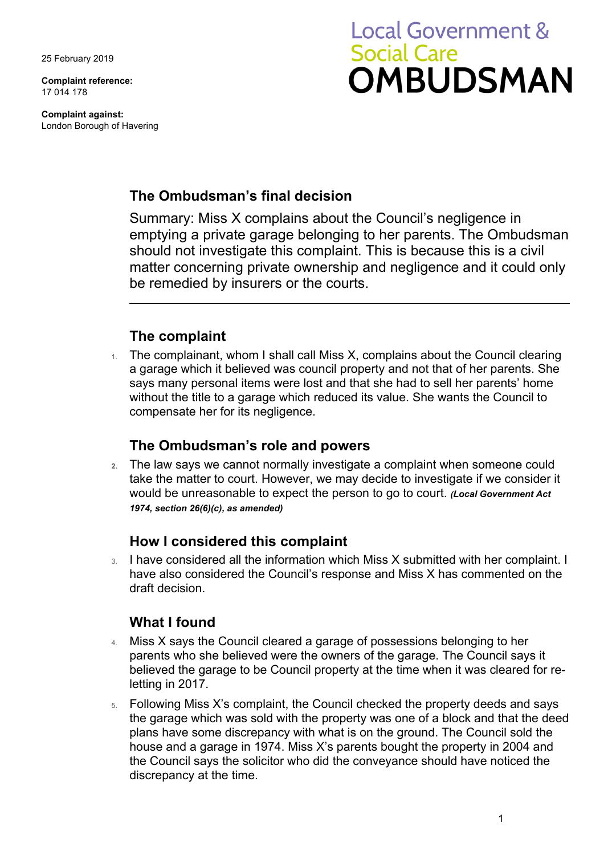25 February 2019

**Complaint reference:**  17 014 178

**Complaint against:**  London Borough of Havering

# **Local Government & Social Care OMBUDSMAN**

#### **The Ombudsman's final decision**

 should not investigate this complaint. This is because this is a civil Summary: Miss X complains about the Council's negligence in emptying a private garage belonging to her parents. The Ombudsman matter concerning private ownership and negligence and it could only be remedied by insurers or the courts.

## **The complaint**

The complainant, whom I shall call Miss X, complains about the Council clearing a garage which it believed was council property and not that of her parents. She says many personal items were lost and that she had to sell her parents' home without the title to a garage which reduced its value. She wants the Council to compensate her for its negligence.

## **The Ombudsman's role and powers**

 would be unreasonable to expect the person to go to court. *(Local Government Act*  **2.** The law says we cannot normally investigate a complaint when someone could take the matter to court. However, we may decide to investigate if we consider it *1974, section 26(6)(c), as amended)* 

## **How I considered this complaint**

 have also considered the Council's response and Miss X has commented on the 3. I have considered all the information which Miss X submitted with her complaint. I draft decision.

## **What I found**

- believed the garage to be Council property at the time when it was cleared for re-4. Miss X says the Council cleared a garage of possessions belonging to her parents who she believed were the owners of the garage. The Council says it letting in 2017.
- 5. Following Miss X's complaint, the Council checked the property deeds and says the garage which was sold with the property was one of a block and that the deed plans have some discrepancy with what is on the ground. The Council sold the house and a garage in 1974. Miss X's parents bought the property in 2004 and the Council says the solicitor who did the conveyance should have noticed the discrepancy at the time.